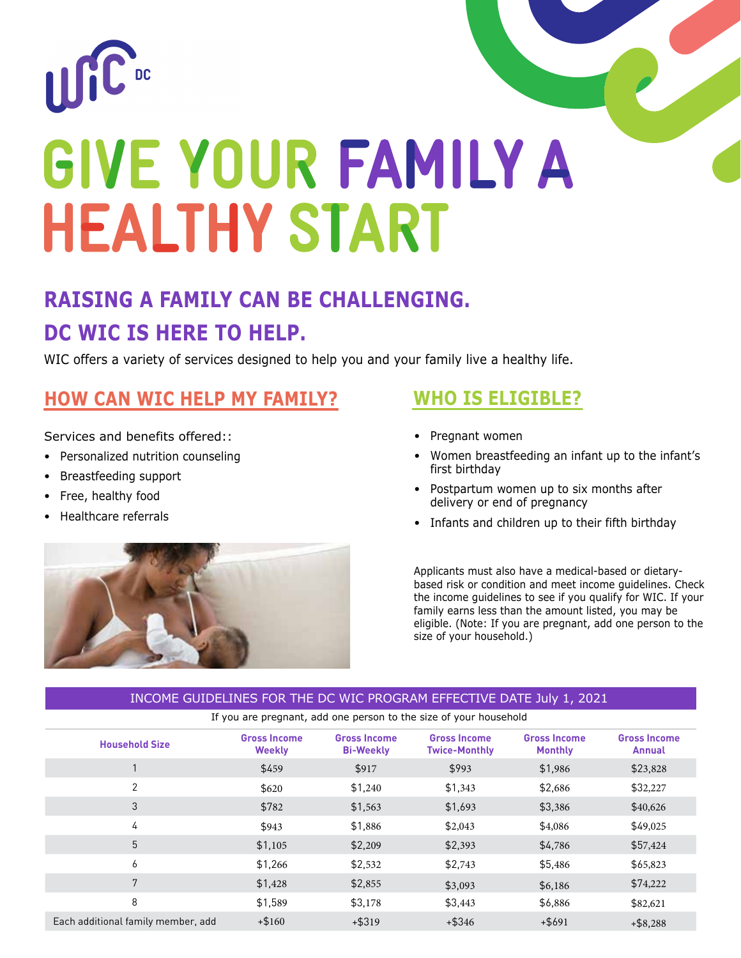

# **RAISING A FAMILY CAN BE CHALLENGING. DC WIC IS HERE TO HELP.**

WIC offers a variety of services designed to help you and your family live a healthy life.

# **HOW CAN WIC HELP MY FAMILY?**

Services and benefits offered:

- Personalized nutrition counseling
- Breastfeeding support
- Free, healthy food
- Healthcare referrals



### **WHO IS ELIGIBLE?**

- Pregnant women
- Women breastfeeding an infant up to the infant's first birthday
- Postpartum women up to six months after delivery or end of pregnancy
- Infants and children up to their fifth birthday

Applicants must also have a medical-based or dietarybased risk or condition and meet income guidelines. Check the income guidelines to see if you qualify for WIC. If your family earns less than the amount listed, you may be eligible. (Note: If you are pregnant, add one person to the size of your household.)

#### INCOME GUIDELINES FOR THE DC WIC PROGRAM EFFECTIVE DATE July 1, 2021

If you are pregnant, add one person to the size of your household

| <b>Household Size</b>              | <b>Gross Income</b><br><b>Weekly</b> | <b>Gross Income</b><br><b>Bi-Weekly</b> | <b>Gross Income</b><br><b>Twice-Monthly</b> | <b>Gross Income</b><br><b>Monthly</b> | <b>Gross Income</b><br><b>Annual</b> |
|------------------------------------|--------------------------------------|-----------------------------------------|---------------------------------------------|---------------------------------------|--------------------------------------|
|                                    | \$459                                | \$917                                   | \$993                                       | \$1,986                               | \$23,828                             |
| $\overline{2}$                     | \$620                                | \$1,240                                 | \$1,343                                     | \$2,686                               | \$32,227                             |
| 3                                  | \$782                                | \$1,563                                 | \$1,693                                     | \$3,386                               | \$40,626                             |
| 4                                  | \$943                                | \$1,886                                 | \$2,043                                     | \$4,086                               | \$49,025                             |
| 5                                  | \$1,105                              | \$2,209                                 | \$2,393                                     | \$4,786                               | \$57,424                             |
| 6                                  | \$1,266                              | \$2,532                                 | \$2,743                                     | \$5,486                               | \$65,823                             |
| 7                                  | \$1,428                              | \$2,855                                 | \$3,093                                     | \$6,186                               | \$74,222                             |
| 8                                  | \$1,589                              | \$3,178                                 | \$3,443                                     | \$6,886                               | \$82,621                             |
| Each additional family member, add | $+ $160$                             | $+ $319$                                | $+$ \$346                                   | $+$ \$691                             | $+$ \$8,288                          |